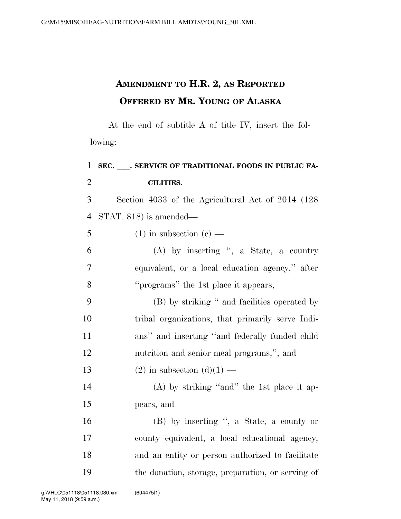## **AMENDMENT TO H.R. 2, AS REPORTED OFFERED BY MR. YOUNG OF ALASKA**

At the end of subtitle A of title IV, insert the following:

| $\mathbf{1}$   | SEC. SERVICE OF TRADITIONAL FOODS IN PUBLIC FA-    |
|----------------|----------------------------------------------------|
| $\overline{2}$ | <b>CILITIES.</b>                                   |
| 3              | Section 4033 of the Agricultural Act of 2014 (128) |
| $\overline{4}$ | STAT. 818) is amended—                             |
| 5              | $(1)$ in subsection $(e)$ —                        |
| 6              | $(A)$ by inserting ", a State, a country           |
| $\overline{7}$ | equivalent, or a local education agency," after    |
| 8              | "programs" the 1st place it appears,               |
| 9              | (B) by striking " and facilities operated by       |
| 10             | tribal organizations, that primarily serve Indi-   |
| 11             | ans" and inserting "and federally funded child     |
| 12             | nutrition and senior meal programs,", and          |
| 13             | $(2)$ in subsection $(d)(1)$ —                     |
| 14             | $(A)$ by striking "and" the 1st place it ap-       |
| 15             | pears, and                                         |
| 16             | (B) by inserting ", a State, a county or           |
| 17             | county equivalent, a local educational agency,     |
| 18             | and an entity or person authorized to facilitate   |
| 19             | the donation, storage, preparation, or serving of  |